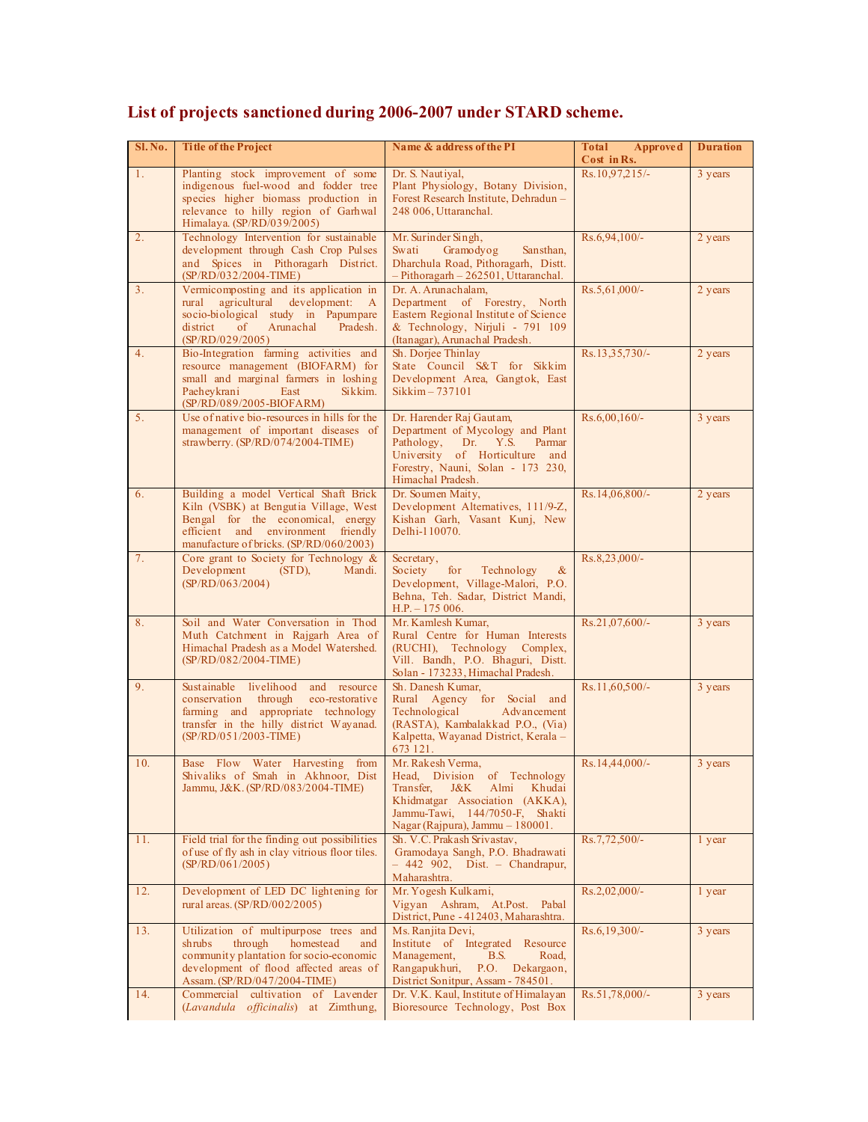| Sl. No.        | <b>Title of the Project</b>                                                                                                                                                                          | Name & address of the PI                                                                                                                                                                        | Total<br>Approved<br>Cost in Rs. | <b>Duration</b> |
|----------------|------------------------------------------------------------------------------------------------------------------------------------------------------------------------------------------------------|-------------------------------------------------------------------------------------------------------------------------------------------------------------------------------------------------|----------------------------------|-----------------|
| 1 <sub>1</sub> | Planting stock improvement of some<br>indigenous fuel-wood and fodder tree<br>species higher biomass production in<br>relevance to hilly region of Garhwal<br>Himalaya. (SP/RD/039/2005)             | Dr. S. Nautival,<br>Plant Physiology, Botany Division,<br>Forest Research Institute, Dehradun -<br>248 006, Uttaranchal.                                                                        | Rs.10,97,215/-                   | 3 years         |
| 2 <sub>1</sub> | Technology Intervention for sustainable<br>development through Cash Crop Pulses<br>and Spices in Pithoragarh District.<br>(SP/RD/032/2004-TIME)                                                      | Mr. Surinder Singh,<br>Swati<br>Gramodyog<br>Sansthan,<br>Dharchula Road, Pithoragarh, Distt.<br>$-$ Pithoragarh $-$ 262501, Uttaranchal.                                                       | Rs.6,94,100/-                    | 2 years         |
| 3 <sub>1</sub> | Vermicomposting and its application in<br>rural agricultural development:<br>$\mathbf{A}$<br>socio-biological study in Papumpare<br>district<br>Arunachal<br>Pradesh.<br>of<br>(SP/RD/029/2005)      | Dr. A. Arunachalam,<br>Department of Forestry, North<br>Eastern Regional Institute of Science<br>& Technology, Nirjuli - 791 109<br>(Itanagar), Arunachal Pradesh.                              | $Rs.5,61,000/-$                  | 2 years         |
| 4.             | Bio-Integration farming activities and<br>resource management (BIOFARM) for<br>small and marginal farmers in loshing<br>Paeheykrani<br>East<br>Sikkim.<br>(SP/RD/089/2005-BIOFARM)                   | Sh. Dorjee Thinlay<br>State Council S&T for Sikkim<br>Development Area, Gangtok, East<br>Sikkim - 737101                                                                                        | Rs.13,35,730/-                   | 2 years         |
| 5 <sub>1</sub> | Use of native bio-resources in hills for the<br>management of important diseases of<br>strawberry. (SP/RD/074/2004-TIME)                                                                             | Dr. Harender Raj Gautam,<br>Department of Mycology and Plant<br>Pathology,<br>Dr.<br>Y.S.<br>Parmar<br>University of Horticulture and<br>Forestry, Nauni, Solan - 173 230,<br>Himachal Pradesh. | $Rs.6,00,160/-$                  | 3 years         |
| 6.             | Building a model Vertical Shaft Brick<br>Kiln (VSBK) at Bengutia Village, West<br>Bengal for the economical, energy<br>efficient and environment friendly<br>manufacture of bricks. (SP/RD/060/2003) | Dr. Soumen Maity,<br>Development Alternatives, 111/9-Z,<br>Kishan Garh, Vasant Kunj, New<br>Delhi-110070.                                                                                       | Rs.14,06,800/-                   | 2 years         |
| 7.             | Core grant to Society for Technology $\&$<br>Development<br>Mandi.<br>$(STD)$ ,<br>(SP/RD/063/2004)                                                                                                  | Secretary,<br>Society<br>for<br>Technology<br>$\alpha$<br>Development, Village-Malori, P.O.<br>Behna, Teh. Sadar, District Mandi,<br>$H.P. - 175006.$                                           | Rs.8,23,000/-                    |                 |
| 8.             | Soil and Water Conversation in Thod<br>Muth Catchment in Rajgarh Area of<br>Himachal Pradesh as a Model Watershed.<br>(SP/RD/082/2004-TIME)                                                          | Mr. Kamlesh Kumar,<br>Rural Centre for Human Interests<br>(RUCHI), Technology<br>Complex,<br>Vill. Bandh, P.O. Bhaguri, Distt.<br>Solan - 173233, Himachal Pradesh.                             | $Rs.21,07,600/-$                 | 3 years         |
| 9.             | Sustainable livelihood<br>and resource<br>through<br>conservation<br>eco-restorative<br>farming and appropriate technology<br>transfer in the hilly district Wayanad.<br>$(SP/RD/051/2003-TIME)$     | Sh. Danesh Kumar,<br>Rural Agency for Social and<br>Technological<br>Advancement<br>(RASTA), Kambalakkad P.O., (Via)<br>Kalpetta, Wayanad District, Kerala -<br>673 121.                        | $Rs.11,60,500/-$                 | 3 years         |
| 10.            | Base Flow Water Harvesting from<br>Shivaliks of Smah in Akhnoor, Dist<br>Jammu, J&K. (SP/RD/083/2004-TIME)                                                                                           | Mr. Rakesh Verma,<br>Head, Division of Technology<br>J&K<br>Almi<br>Khudai<br>Transfer.<br>Khidmatgar Association (AKKA),<br>Jammu-Tawi, 144/7050-F, Shakti<br>Nagar (Rajpura), Jammu - 180001. | $Rs.14,44,000/-$                 | 3 years         |
| 11.            | Field trial for the finding out possibilities<br>of use of fly ash in clay vitrious floor tiles.<br>(SP/RD/061/2005)                                                                                 | Sh. V.C. Prakash Srivastav,<br>Gramodaya Sangh, P.O. Bhadrawati<br>$-442$ 902, Dist. - Chandrapur,<br>Maharashtra.                                                                              | Rs.7,72,500/-                    | 1 year          |
| 12.            | Development of LED DC lightening for<br>rural areas. $(SP/RD/002/2005)$                                                                                                                              | Mr. Yogesh Kulkarni,<br>Vigyan Ashram, At.Post. Pabal<br>District, Pune - 412403, Maharashtra.                                                                                                  | $Rs.2,02,000/-$                  | 1 year          |
| 13.            | Utilization of multipurpose trees and<br>through<br>homestead<br>shrubs<br>and<br>community plantation for socio-economic<br>development of flood affected areas of<br>Assam. (SP/RD/047/2004-TIME)  | Ms. Ranjita Devi,<br>Institute of Integrated Resource<br>Management,<br>B.S.<br>Road,<br>Rangapukhuri,<br>P.O. Dekargaon,<br>District Sonitpur, Assam - 784501.                                 | $Rs.6, 19, 300/-$                | 3 years         |
| 14.            | Commercial cultivation of Lavender<br>(Lavandula officinalis) at Zimthung,                                                                                                                           | Dr. V.K. Kaul, Institute of Himalayan<br>Bioresource Technology, Post Box                                                                                                                       | Rs.51,78,000/-                   | 3 years         |

## **List of projects sanctioned during 2006-2007 under STARD scheme.**